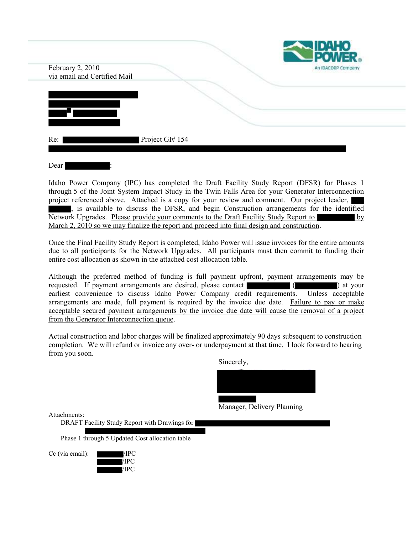| February 2, 2010<br>via email and Certified Mail | <b>IDAHO<br/>POWER</b><br>An IDACORP Company |
|--------------------------------------------------|----------------------------------------------|
|                                                  |                                              |
| Project GI# 154<br>Re:                           |                                              |

Idaho Power Company (IPC) has completed the Draft Facility Study Report (DFSR) for Phases 1 through 5 of the Joint System Impact Study in the Twin Falls Area for your Generator Interconnection project referenced above. Attached is a copy for your review and comment. Our project leader, , is available to discuss the DFSR, and begin Construction arrangements for the identified Network Upgrades. Please provide your comments to the Draft Facility Study Report to March 2, 2010 so we may finalize the report and proceed into final design and construction.

Once the Final Facility Study Report is completed, Idaho Power will issue invoices for the entire amounts due to all participants for the Network Upgrades. All participants must then commit to funding their entire cost allocation as shown in the attached cost allocation table.

Although the preferred method of funding is full payment upfront, payment arrangements may be requested. If payment arrangements are desired, please contact ( ) at your earliest convenience to discuss Idaho Power Company credit requirements. Unless acceptable arrangements are made, full payment is required by the invoice due date. Failure to pay or make acceptable secured payment arrangements by the invoice due date will cause the removal of a project from the Generator Interconnection queue.

Actual construction and labor charges will be finalized approximately 90 days subsequent to construction completion. We will refund or invoice any over- or underpayment at that time. I look forward to hearing from you soon.

Sincerely,

Manager, Delivery Planning

Attachments:

DRAFT Facility Study Report with Drawings for

Phase 1 through 5 Updated Cost allocation table

Cc (via email):  $\sqrt{IPC}$ 

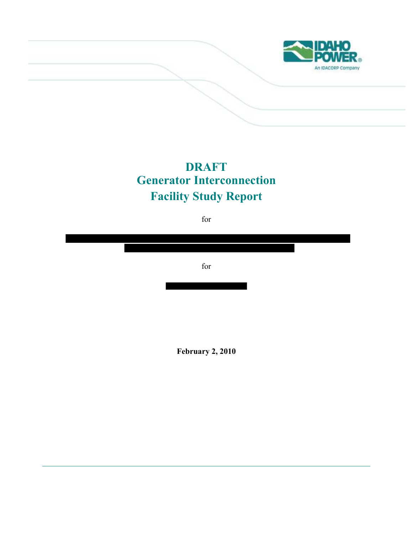

# **DRAFT Generator Interconnection Facility Study Report**

for



**February 2, 2010**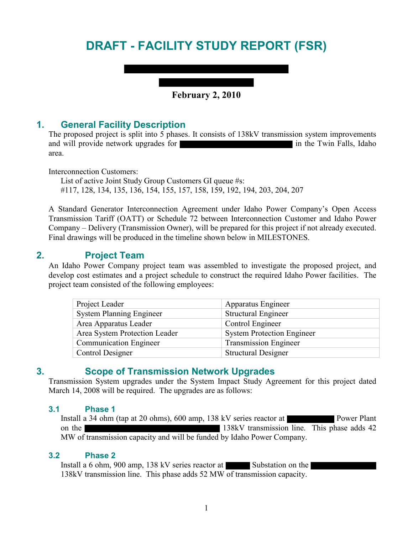# **DRAFT - FACILITY STUDY REPORT (FSR)**

## **February 2, 2010**

## **1. General Facility Description**

The proposed project is split into 5 phases. It consists of 138kV transmission system improvements and will provide network upgrades for **in the Twin Falls** in the Twin Falls, Idaho area.

Interconnection Customers:

List of active Joint Study Group Customers GI queue #s: #117, 128, 134, 135, 136, 154, 155, 157, 158, 159, 192, 194, 203, 204, 207

A Standard Generator Interconnection Agreement under Idaho Power Company's Open Access Transmission Tariff (OATT) or Schedule 72 between Interconnection Customer and Idaho Power Company – Delivery (Transmission Owner), will be prepared for this project if not already executed. Final drawings will be produced in the timeline shown below in MILESTONES.

## **2. Project Team**

An Idaho Power Company project team was assembled to investigate the proposed project, and develop cost estimates and a project schedule to construct the required Idaho Power facilities. The project team consisted of the following employees:

| Project Leader                  | Apparatus Engineer                |
|---------------------------------|-----------------------------------|
| <b>System Planning Engineer</b> | <b>Structural Engineer</b>        |
| Area Apparatus Leader           | Control Engineer                  |
| Area System Protection Leader   | <b>System Protection Engineer</b> |
| <b>Communication Engineer</b>   | <b>Transmission Engineer</b>      |
| <b>Control Designer</b>         | <b>Structural Designer</b>        |

## **3. Scope of Transmission Network Upgrades**

Transmission System upgrades under the System Impact Study Agreement for this project dated March 14, 2008 will be required. The upgrades are as follows:

#### **3.1 Phase 1**

Install a 34 ohm (tap at 20 ohms), 600 amp, 138 kV series reactor at Power Plant on the 138kV transmission line. This phase adds 42 MW of transmission capacity and will be funded by Idaho Power Company.

#### **3.2 Phase 2**

Install a 6 ohm, 900 amp, 138 kV series reactor at Substation on the 138kV transmission line. This phase adds 52 MW of transmission capacity.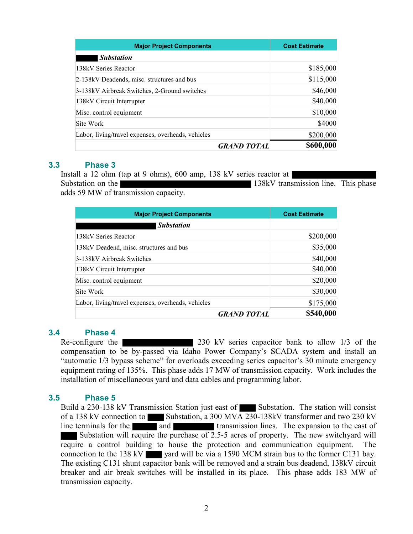| <b>Major Project Components</b>                    | <b>Cost Estimate</b>            |
|----------------------------------------------------|---------------------------------|
| <b>Substation</b>                                  |                                 |
| 138kV Series Reactor                               | \$185,000                       |
| 2-138kV Deadends, misc. structures and bus         | \$115,000                       |
| 3-138kV Airbreak Switches, 2-Ground switches       | \$46,000                        |
| 138kV Circuit Interrupter                          | \$40,000                        |
| Misc. control equipment                            | \$10,000                        |
| Site Work                                          | \$4000                          |
| Labor, living/travel expenses, overheads, vehicles | \$200,000                       |
|                                                    | \$600,000<br><b>GRAND TOTAL</b> |

#### **3.3 Phase 3**

Install a 12 ohm (tap at 9 ohms), 600 amp, 138 kV series reactor at Substation on the 138kV transmission line. This phase adds 59 MW of transmission capacity.

| <b>Major Project Components</b>                    | <b>Cost Estimate</b> |
|----------------------------------------------------|----------------------|
| <b>Substation</b>                                  |                      |
| 138kV Series Reactor                               | \$200,000            |
| 138kV Deadend, misc. structures and bus            | \$35,000             |
| 3-138kV Airbreak Switches                          | \$40,000             |
| 138kV Circuit Interrupter                          | \$40,000             |
| Misc. control equipment                            | \$20,000             |
| Site Work                                          | \$30,000             |
| Labor, living/travel expenses, overheads, vehicles | \$175,000            |
| <b>GRAND TOTAL</b>                                 | \$540,000            |

#### **3.4 Phase 4**

Re-configure the 230 kV series capacitor bank to allow 1/3 of the compensation to be by-passed via Idaho Power Company's SCADA system and install an "automatic 1/3 bypass scheme" for overloads exceeding series capacitor's 30 minute emergency equipment rating of 135%. This phase adds 17 MW of transmission capacity. Work includes the installation of miscellaneous yard and data cables and programming labor.

#### **3.5 Phase 5**

Build a 230-138 kV Transmission Station just east of Substation. The station will consist of a 138 kV connection to Substation, a 300 MVA 230-138kV transformer and two 230 kV line terminals for the and transmission lines. The expansion to the east of Substation will require the purchase of 2.5-5 acres of property. The new switchyard will require a control building to house the protection and communication equipment. The connection to the 138 kV yeard will be via a 1590 MCM strain bus to the former C131 bay. The existing C131 shunt capacitor bank will be removed and a strain bus deadend, 138kV circuit breaker and air break switches will be installed in its place. This phase adds 183 MW of transmission capacity.